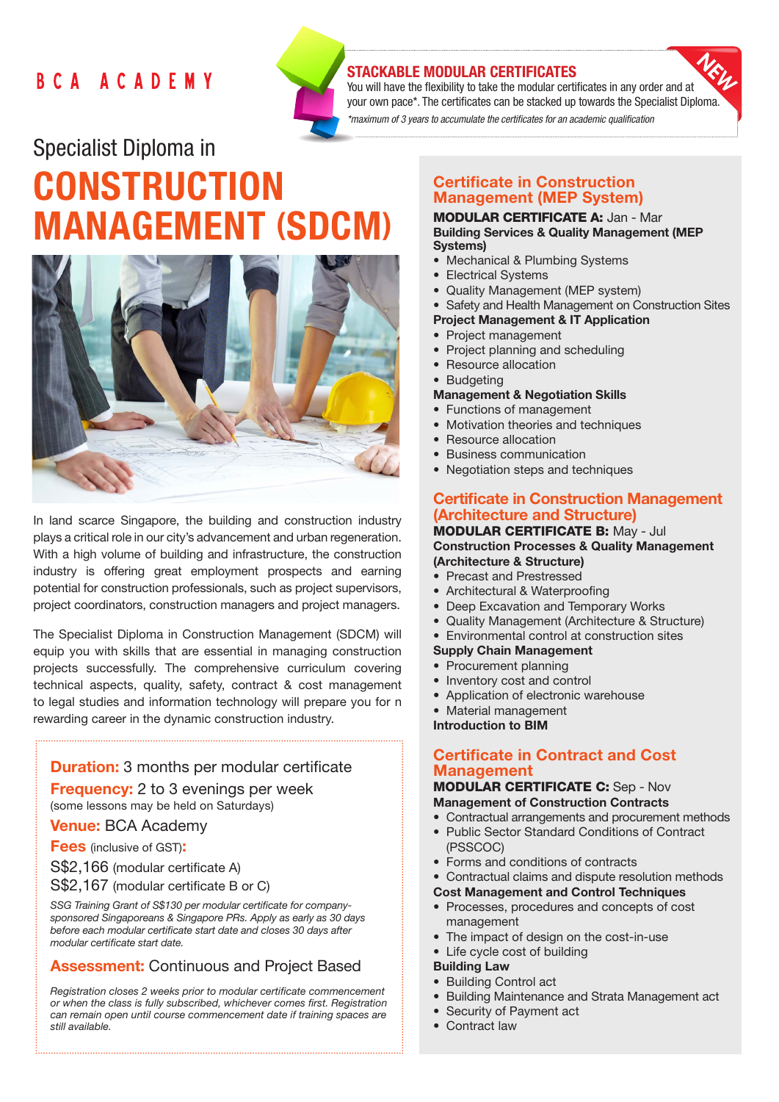## BCA ACADEMY



## STACKABLE MODULAR CERTIFICATES

You will have the flexibility to take the modular certificates in any order and at your own pace\*. The certificates can be stacked up towards the Specialist Diploma. *\*maximum of 3 years to accumulate the certificates for an academic qualification* 

# Specialist Diploma in **CONSTRUCTION** MANAGEMENT (SDCM)



In land scarce Singapore, the building and construction industry plays a critical role in our city's advancement and urban regeneration. With a high volume of building and infrastructure, the construction industry is offering great employment prospects and earning potential for construction professionals, such as project supervisors, project coordinators, construction managers and project managers.

The Specialist Diploma in Construction Management (SDCM) will equip you with skills that are essential in managing construction projects successfully. The comprehensive curriculum covering technical aspects, quality, safety, contract & cost management to legal studies and information technology will prepare you for n rewarding career in the dynamic construction industry.

## **Duration:** 3 months per modular certificate

**Frequency:** 2 to 3 evenings per week (some lessons may be held on Saturdays)

Venue: BCA Academy

## **Fees** (inclusive of GST):

S\$2,166 (modular certificate A)

S\$2,167 (modular certificate B or C)

*SSG Training Grant of S\$130 per modular certificate for companysponsored Singaporeans & Singapore PRs. Apply as early as 30 days before each modular certificate start date and closes 30 days after modular certificate start date.*

## Assessment: Continuous and Project Based

*Registration closes 2 weeks prior to modular certificate commencement or when the class is fully subscribed, whichever comes first. Registration can remain open until course commencement date if training spaces are still available.*

## Certificate in Construction Management (MEP System)

#### MODULAR CERTIFICATE A: Jan - Mar Building Services & Quality Management (MEP Systems)

- Mechanical & Plumbing Systems
- Electrical Systems
- Quality Management (MEP system)
- Safety and Health Management on Construction Sites
- Project Management & IT Application
- • Project management
- Project planning and scheduling
- Resource allocation
- Budgeting

#### Management & Negotiation Skills

- Functions of management
- Motivation theories and techniques
- **Resource allocation**
- **Business communication**
- Negotiation steps and techniques

## Certificate in Construction Management (Architecture and Structure)

#### MODULAR CERTIFICATE B: May - Jul Construction Processes & Quality Management (Architecture & Structure)

- Precast and Prestressed
- Architectural & Waterproofing
- Deep Excavation and Temporary Works
- Quality Management (Architecture & Structure)
- • Environmental control at construction sites

#### Supply Chain Management

- Procurement planning
- Inventory cost and control
- Application of electronic warehouse
- **Material management**

Introduction to BIM

## Certificate in Contract and Cost **Management**

#### MODULAR CERTIFICATE C: Sep - Nov Management of Construction Contracts

- Contractual arrangements and procurement methods
- Public Sector Standard Conditions of Contract (PSSCOC)
- • Forms and conditions of contracts
- Contractual claims and dispute resolution methods
- Cost Management and Control Techniques
- • Processes, procedures and concepts of cost management
- The impact of design on the cost-in-use
- Life cycle cost of building

#### Building Law

- Building Control act
- Building Maintenance and Strata Management act
- Security of Payment act
- Contract law